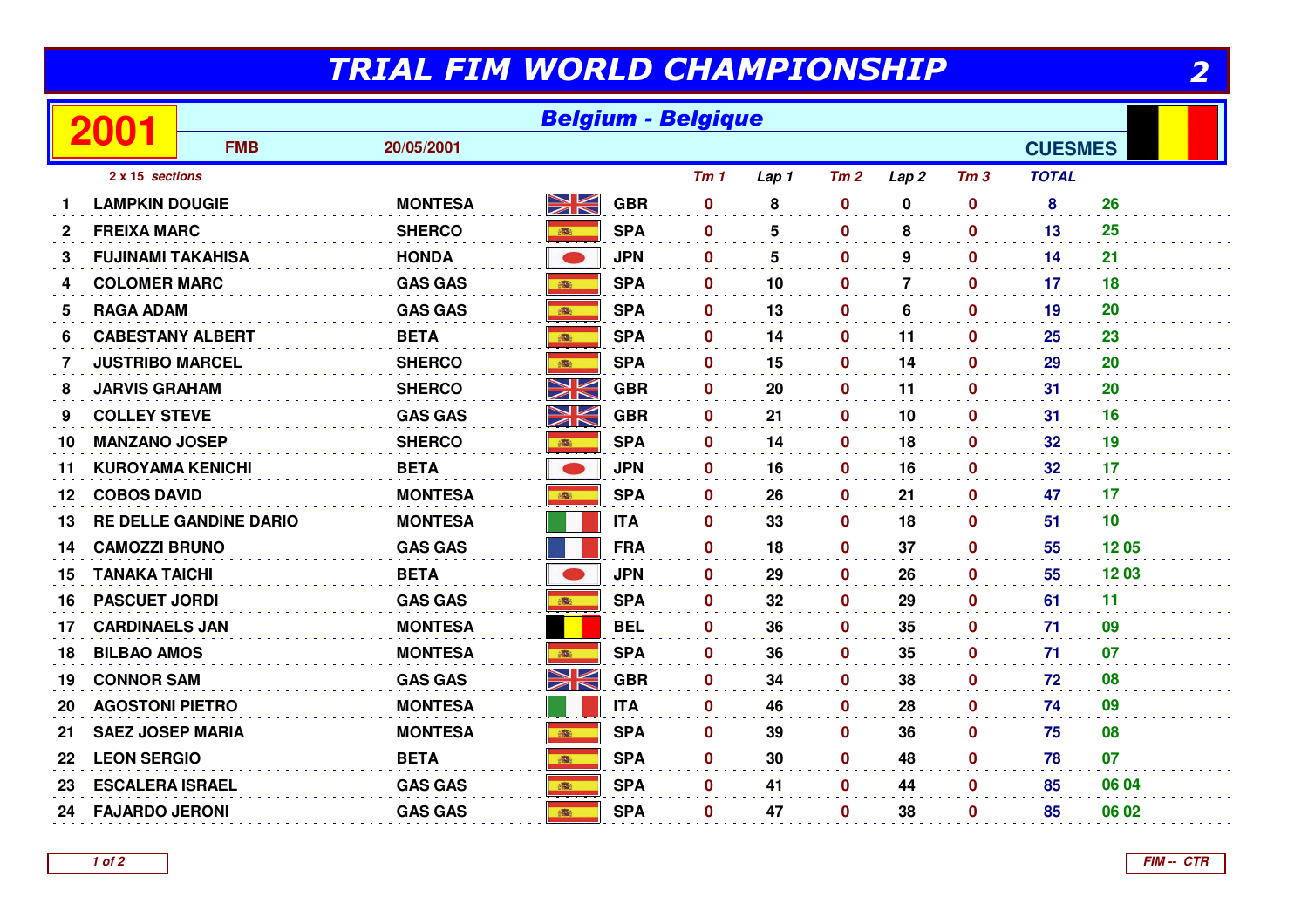## TRIAL FIM WORLD CHAMPIONSHIP

| TRIAL FIM WORLD CHAMPIONSHIP<br>2 |                          |                               |                |               |            |                           |                 |              |                  |                  |                 |       |
|-----------------------------------|--------------------------|-------------------------------|----------------|---------------|------------|---------------------------|-----------------|--------------|------------------|------------------|-----------------|-------|
|                                   | 2001                     |                               |                |               |            | <b>Belgium - Belgique</b> |                 |              |                  |                  |                 |       |
|                                   |                          | <b>FMB</b>                    | 20/05/2001     |               |            |                           |                 |              |                  |                  | <b>CUESMES</b>  |       |
|                                   | 2 x 15 sections          |                               |                |               |            | Tm <sub>1</sub>           | Lap 1           | Tm2          | Lap <sub>2</sub> | Tm <sub>3</sub>  | <b>TOTAL</b>    |       |
|                                   | <b>LAMPKIN DOUGIE</b>    |                               | <b>MONTESA</b> | NK<br>M       | <b>GBR</b> | $\mathbf 0$               | 8               | $\bf{0}$     | $\mathbf 0$      | $\bf{0}$         | 8               | 26    |
| 2                                 | <b>FREIXA MARC</b>       |                               | <b>SHERCO</b>  | <b>B</b>      | <b>SPA</b> | $\mathbf 0$               | 5               | $\mathbf{0}$ | 8                | $\mathbf{0}$     | 13              | 25    |
| 3                                 | <b>FUJINAMI TAKAHISA</b> |                               | <b>HONDA</b>   | $\rightarrow$ | <b>JPN</b> | $\mathbf 0$               | $5\phantom{.0}$ | $\mathbf 0$  | 9                | $\mathbf 0$      | 14              | 21    |
| 4                                 | <b>COLOMER MARC</b>      |                               | <b>GAS GAS</b> | ■ 調査          | <b>SPA</b> | $\mathbf{0}$              | 10              | $\mathbf{0}$ | $\overline{7}$   | $\mathbf{0}$     | $17 \,$         | 18    |
| 5                                 | <b>RAGA ADAM</b>         |                               | <b>GAS GAS</b> |               | <b>SPA</b> | $\mathbf 0$               | 13              | $\mathbf{0}$ | 6                | $\mathbf{0}$     | 19              | 20    |
| 6                                 | <b>CABESTANY ALBERT</b>  |                               | <b>BETA</b>    |               | <b>SPA</b> | $\mathbf{0}$              | 14              | $\mathbf 0$  | 11               | $\mathbf 0$      | 25              | 23    |
| 7                                 | <b>JUSTRIBO MARCEL</b>   |                               | <b>SHERCO</b>  | <b>BEE</b>    | <b>SPA</b> | $\mathbf 0$               | 15              | 0            | 14               | $\mathbf 0$      | 29              | 20    |
| 8                                 | <b>JARVIS GRAHAM</b>     |                               | <b>SHERCO</b>  | NK            | <b>GBR</b> | $\mathbf 0$               | 20              | 0            | 11               | $\mathbf 0$      | 31              | 20    |
| 9                                 | <b>COLLEY STEVE</b>      |                               | <b>GAS GAS</b> | XK            | <b>GBR</b> | $\bf{0}$                  | 21              | $\mathbf{0}$ | 10               | $\mathbf{0}$     | 31              | 16    |
| 10                                | <b>MANZANO JOSEP</b>     |                               | <b>SHERCO</b>  |               | <b>SPA</b> | $\mathbf 0$               | 14              | $\mathbf 0$  | 18               | $\mathbf{0}$     | 32 <sub>2</sub> | 19    |
| 11                                | <b>KUROYAMA KENICHI</b>  |                               | <b>BETA</b>    | $\bullet$     | <b>JPN</b> | $\mathbf{0}$              | 16              | $\mathbf 0$  | 16               | $\bf{0}$         | 32 <sub>2</sub> | 17    |
| 12                                | <b>COBOS DAVID</b>       |                               | <b>MONTESA</b> |               | <b>SPA</b> | $\mathbf{0}$              | 26              | $\mathbf 0$  | 21               | $\mathbf{0}$     | 47              | 17    |
| 13                                |                          | <b>RE DELLE GANDINE DARIO</b> | <b>MONTESA</b> |               | <b>ITA</b> | $\mathbf{0}$              | 33              | 0            | 18               | 0                | 51              | 10    |
| 14                                | <b>CAMOZZI BRUNO</b>     |                               | <b>GAS GAS</b> |               | <b>FRA</b> | $\mathbf 0$               | 18              | $\mathbf 0$  | 37               | $\mathbf 0$      | 55              | 12 05 |
| 15                                | <b>TANAKA TAICHI</b>     |                               | <b>BETA</b>    |               | <b>JPN</b> | $\mathbf 0$               | 29              | $\mathbf 0$  | 26               | $\mathbf 0$      | 55              | 1203  |
| 16                                | <b>PASCUET JORDI</b>     |                               | <b>GAS GAS</b> | <b>BOST</b>   | <b>SPA</b> | $\mathbf 0$               | 32              | $\mathbf{0}$ | 29               | $\mathbf 0$      | 61              | 11    |
| 17                                | <b>CARDINAELS JAN</b>    |                               | <b>MONTESA</b> |               | <b>BEL</b> | $\mathbf 0$               | 36              | $\mathbf 0$  | 35               | $\mathbf 0$      | 71              | 09    |
| 18                                | <b>BILBAO AMOS</b>       |                               | <b>MONTESA</b> | 游             | <b>SPA</b> | $\mathbf{0}$              | 36              | $\mathbf 0$  | 35               | $\mathbf 0$      | 71              | 07    |
| 19                                | <b>CONNOR SAM</b>        |                               | <b>GAS GAS</b> | XK            | <b>GBR</b> | $\mathbf 0$               | 34              | $\mathbf 0$  | 38               | $\mathbf 0$      | 72              | 08    |
| 20                                | <b>AGOSTONI PIETRO</b>   |                               | <b>MONTESA</b> |               | <b>ITA</b> | $\mathbf 0$               | 46              | 0            | 28               | $\boldsymbol{0}$ | 74              | 09    |
| 21                                | <b>SAEZ JOSEP MARIA</b>  |                               | <b>MONTESA</b> |               | <b>SPA</b> | $\mathbf 0$               | 39              | $\mathbf 0$  | 36               | $\mathbf 0$      | 75              | 08    |
| 22                                | <b>LEON SERGIO</b>       |                               | <b>BETA</b>    | 高             | <b>SPA</b> | $\mathbf 0$               | 30              | $\mathbf 0$  | 48               | $\mathbf 0$      | 78              | 07    |
| 23                                | <b>ESCALERA ISRAEL</b>   |                               | <b>GAS GAS</b> |               | <b>SPA</b> | $\mathbf 0$               | 41              | $\mathbf 0$  | 44               | $\mathbf 0$      | 85              | 06 04 |
| 24                                | <b>FAJARDO JERONI</b>    |                               | <b>GAS GAS</b> | <b>BS</b>     | <b>SPA</b> | $\mathbf 0$               | 47              | $\mathbf 0$  | 38               | $\mathbf 0$      | 85              | 06 02 |
|                                   |                          |                               |                |               |            |                           |                 |              |                  |                  |                 |       |